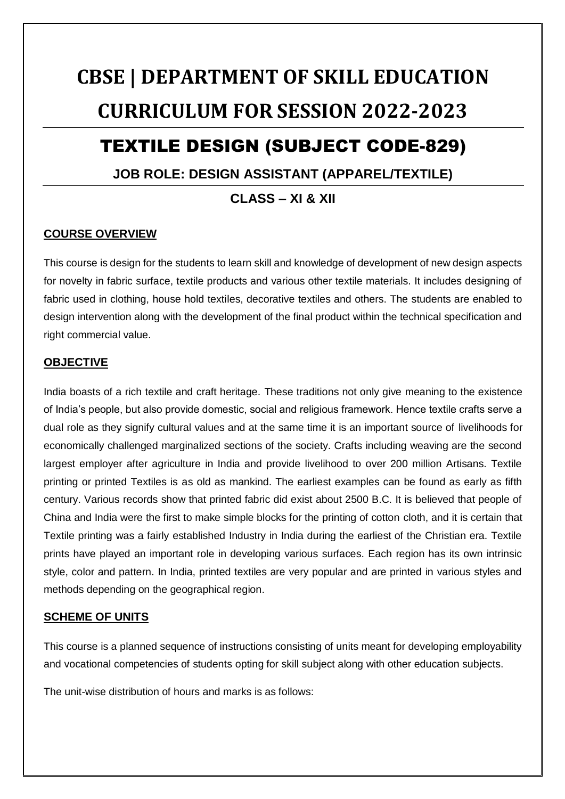# **CBSE | DEPARTMENT OF SKILL EDUCATION CURRICULUM FOR SESSION 2022-2023**

## TEXTILE DESIGN (SUBJECT CODE-829)

### **JOB ROLE: DESIGN ASSISTANT (APPAREL/TEXTILE)**

**CLASS – XI & XII**

### **COURSE OVERVIEW**

This course is design for the students to learn skill and knowledge of development of new design aspects for novelty in fabric surface, textile products and various other textile materials. It includes designing of fabric used in clothing, house hold textiles, decorative textiles and others. The students are enabled to design intervention along with the development of the final product within the technical specification and right commercial value.

### **OBJECTIVE**

India boasts of a rich textile and craft heritage. These traditions not only give meaning to the existence of India's people, but also provide domestic, social and religious framework. Hence textile crafts serve a dual role as they signify cultural values and at the same time it is an important source of livelihoods for economically challenged marginalized sections of the society. Crafts including weaving are the second largest employer after agriculture in India and provide livelihood to over 200 million Artisans. Textile printing or printed Textiles is as old as mankind. The earliest examples can be found as early as fifth century. Various records show that printed fabric did exist about 2500 B.C. It is believed that people of China and India were the first to make simple blocks for the printing of cotton cloth, and it is certain that Textile printing was a fairly established Industry in India during the earliest of the Christian era. Textile prints have played an important role in developing various surfaces. Each region has its own intrinsic style, color and pattern. In India, printed textiles are very popular and are printed in various styles and methods depending on the geographical region.

### **SCHEME OF UNITS**

This course is a planned sequence of instructions consisting of units meant for developing employability and vocational competencies of students opting for skill subject along with other education subjects.

The unit-wise distribution of hours and marks is as follows: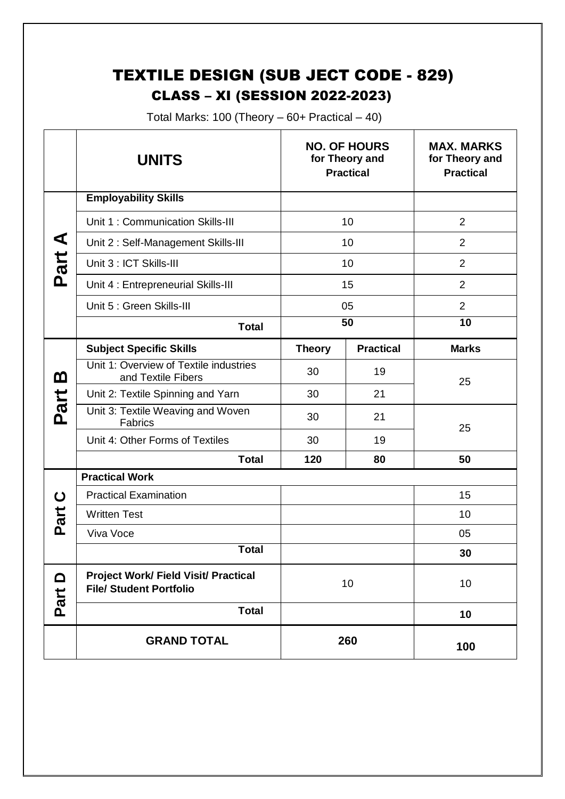### TEXTILE DESIGN (SUB JECT CODE - 829) CLASS – XI (SESSION 2022-2023)

Total Marks: 100 (Theory  $-60+$  Practical  $-40$ )

|                  | <b>UNITS</b>                                                                  |               | <b>NO. OF HOURS</b><br>for Theory and<br><b>Practical</b> | <b>MAX. MARKS</b><br>for Theory and<br><b>Practical</b> |
|------------------|-------------------------------------------------------------------------------|---------------|-----------------------------------------------------------|---------------------------------------------------------|
| ⋖<br>Part        | <b>Employability Skills</b>                                                   |               |                                                           |                                                         |
|                  | Unit 1: Communication Skills-III                                              | 10            |                                                           | $\overline{2}$                                          |
|                  | Unit 2: Self-Management Skills-III                                            | 10            |                                                           | $\overline{2}$                                          |
|                  | Unit 3 : ICT Skills-III                                                       | 10            |                                                           | $\overline{2}$                                          |
|                  | Unit 4 : Entrepreneurial Skills-III                                           | 15            |                                                           | $\overline{2}$                                          |
|                  | Unit 5 : Green Skills-III                                                     | 05            |                                                           | $\overline{2}$                                          |
|                  | <b>Total</b>                                                                  | 50            |                                                           | $\overline{10}$                                         |
|                  | <b>Subject Specific Skills</b>                                                | <b>Theory</b> | <b>Practical</b>                                          | <b>Marks</b>                                            |
| മ                | Unit 1: Overview of Textile industries<br>and Textile Fibers                  | 30            | 19                                                        | 25                                                      |
|                  | Unit 2: Textile Spinning and Yarn                                             | 30            | 21                                                        |                                                         |
| Part             | Unit 3: Textile Weaving and Woven<br><b>Fabrics</b>                           | 30            | 21                                                        | 25                                                      |
|                  | Unit 4: Other Forms of Textiles                                               | 30            | 19                                                        |                                                         |
|                  | <b>Total</b>                                                                  | 120           | 80                                                        | 50                                                      |
|                  | <b>Practical Work</b>                                                         |               |                                                           |                                                         |
|                  | <b>Practical Examination</b>                                                  |               |                                                           | 15                                                      |
| tie.             | <b>Written Test</b>                                                           |               |                                                           | 10                                                      |
| <b>Q</b>         | Viva Voce                                                                     |               |                                                           | 05                                                      |
|                  | <b>Total</b>                                                                  |               |                                                           | 30                                                      |
| $\Omega$<br>Part | <b>Project Work/ Field Visit/ Practical</b><br><b>File/ Student Portfolio</b> | 10            |                                                           | 10                                                      |
|                  | <b>Total</b>                                                                  |               |                                                           | 10                                                      |
|                  | <b>GRAND TOTAL</b>                                                            | 260           |                                                           | 100                                                     |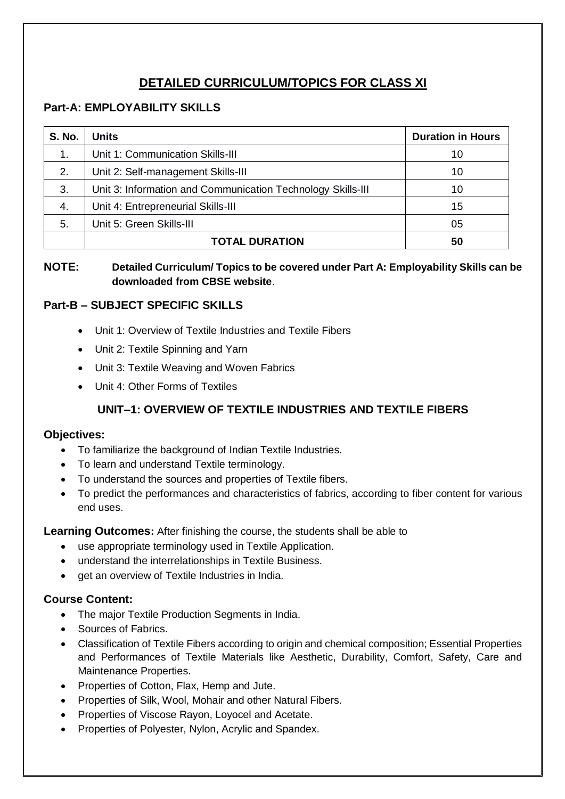### **DETAILED CURRICULUM/TOPICS FOR CLASS XI**

### **Part-A: EMPLOYABILITY SKILLS**

| <b>S. No.</b> | Units                                                       | <b>Duration in Hours</b> |
|---------------|-------------------------------------------------------------|--------------------------|
| 1.            | Unit 1: Communication Skills-III                            | 10                       |
| 2.            | Unit 2: Self-management Skills-III                          | 10                       |
| 3.            | Unit 3: Information and Communication Technology Skills-III | 10                       |
| 4.            | Unit 4: Entrepreneurial Skills-III                          | 15                       |
| 5.            | Unit 5: Green Skills-III                                    | 05                       |
|               | <b>TOTAL DURATION</b>                                       | 50                       |

### **NOTE: Detailed Curriculum/ Topics to be covered under Part A: Employability Skills can be downloaded from CBSE website**.

### **Part-B – SUBJECT SPECIFIC SKILLS**

- Unit 1: Overview of Textile Industries and Textile Fibers
- Unit 2: Textile Spinning and Yarn
- Unit 3: Textile Weaving and Woven Fabrics
- Unit 4: Other Forms of Textiles

### **UNIT–1: OVERVIEW OF TEXTILE INDUSTRIES AND TEXTILE FIBERS**

### **Objectives:**

- To familiarize the background of Indian Textile Industries.
- To learn and understand Textile terminology.
- To understand the sources and properties of Textile fibers.
- To predict the performances and characteristics of fabrics, according to fiber content for various end uses.

**Learning Outcomes:** After finishing the course, the students shall be able to

- use appropriate terminology used in Textile Application.
- understand the interrelationships in Textile Business.
- **•** get an overview of Textile Industries in India.

### **Course Content:**

- The major Textile Production Segments in India.
- Sources of Fabrics.
- Classification of Textile Fibers according to origin and chemical composition; Essential Properties and Performances of Textile Materials like Aesthetic, Durability, Comfort, Safety, Care and Maintenance Properties.
- Properties of Cotton, Flax, Hemp and Jute.
- Properties of Silk, Wool, Mohair and other Natural Fibers.
- Properties of Viscose Rayon, Loyocel and Acetate.
- Properties of Polyester, Nylon, Acrylic and Spandex.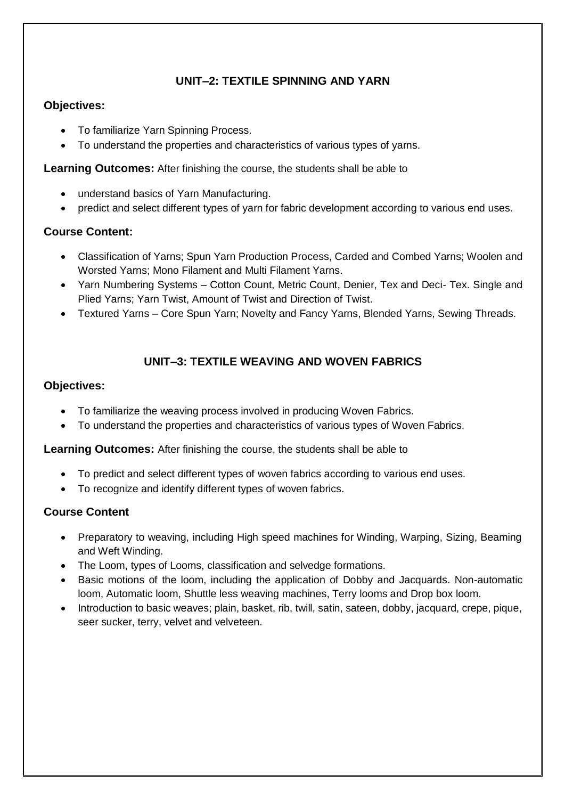### **UNIT–2: TEXTILE SPINNING AND YARN**

### **Objectives:**

- To familiarize Yarn Spinning Process.
- To understand the properties and characteristics of various types of yarns.

**Learning Outcomes:** After finishing the course, the students shall be able to

- understand basics of Yarn Manufacturing.
- predict and select different types of yarn for fabric development according to various end uses.

### **Course Content:**

- Classification of Yarns; Spun Yarn Production Process, Carded and Combed Yarns; Woolen and Worsted Yarns; Mono Filament and Multi Filament Yarns.
- Yarn Numbering Systems Cotton Count, Metric Count, Denier, Tex and Deci- Tex. Single and Plied Yarns; Yarn Twist, Amount of Twist and Direction of Twist.
- Textured Yarns Core Spun Yarn; Novelty and Fancy Yarns, Blended Yarns, Sewing Threads.

### **UNIT–3: TEXTILE WEAVING AND WOVEN FABRICS**

### **Objectives:**

- To familiarize the weaving process involved in producing Woven Fabrics.
- To understand the properties and characteristics of various types of Woven Fabrics.

**Learning Outcomes:** After finishing the course, the students shall be able to

- To predict and select different types of woven fabrics according to various end uses.
- To recognize and identify different types of woven fabrics.

### **Course Content**

- Preparatory to weaving, including High speed machines for Winding, Warping, Sizing, Beaming and Weft Winding.
- The Loom, types of Looms, classification and selvedge formations.
- Basic motions of the loom, including the application of Dobby and Jacquards. Non-automatic loom, Automatic loom, Shuttle less weaving machines, Terry looms and Drop box loom.
- Introduction to basic weaves; plain, basket, rib, twill, satin, sateen, dobby, jacquard, crepe, pique, seer sucker, terry, velvet and velveteen.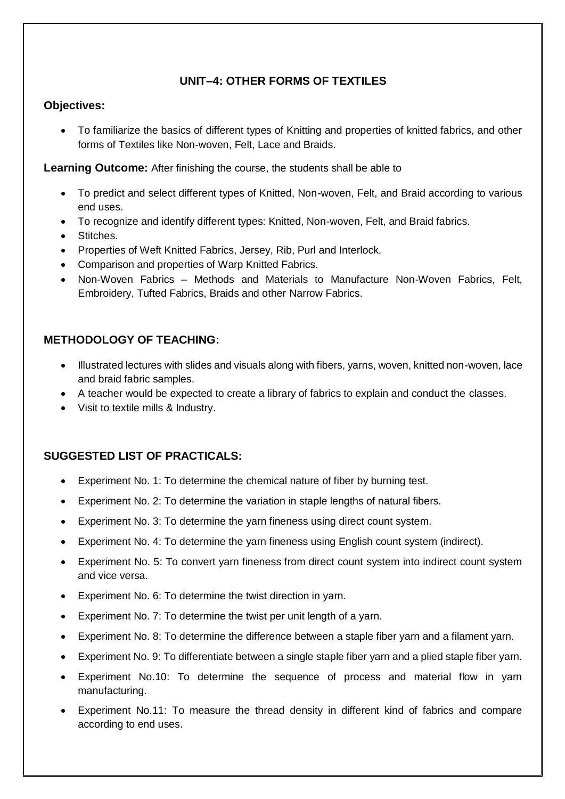### **UNIT–4: OTHER FORMS OF TEXTILES**

### **Objectives:**

 To familiarize the basics of different types of Knitting and properties of knitted fabrics, and other forms of Textiles like Non-woven, Felt, Lace and Braids.

**Learning Outcome:** After finishing the course, the students shall be able to

- To predict and select different types of Knitted, Non-woven, Felt, and Braid according to various end uses.
- To recognize and identify different types: Knitted, Non-woven, Felt, and Braid fabrics.
- Stitches.
- Properties of Weft Knitted Fabrics, Jersey, Rib, Purl and Interlock.
- Comparison and properties of Warp Knitted Fabrics.
- Non-Woven Fabrics Methods and Materials to Manufacture Non-Woven Fabrics, Felt, Embroidery, Tufted Fabrics, Braids and other Narrow Fabrics.

### **METHODOLOGY OF TEACHING:**

- Illustrated lectures with slides and visuals along with fibers, yarns, woven, knitted non-woven, lace and braid fabric samples.
- A teacher would be expected to create a library of fabrics to explain and conduct the classes.
- Visit to textile mills & Industry.

### **SUGGESTED LIST OF PRACTICALS:**

- Experiment No. 1: To determine the chemical nature of fiber by burning test.
- Experiment No. 2: To determine the variation in staple lengths of natural fibers.
- Experiment No. 3: To determine the yarn fineness using direct count system.
- Experiment No. 4: To determine the yarn fineness using English count system (indirect).
- Experiment No. 5: To convert yarn fineness from direct count system into indirect count system and vice versa.
- Experiment No. 6: To determine the twist direction in yarn.
- Experiment No. 7: To determine the twist per unit length of a yarn.
- Experiment No. 8: To determine the difference between a staple fiber yarn and a filament yarn.
- Experiment No. 9: To differentiate between a single staple fiber yarn and a plied staple fiber yarn.
- Experiment No.10: To determine the sequence of process and material flow in yarn manufacturing.
- Experiment No.11: To measure the thread density in different kind of fabrics and compare according to end uses.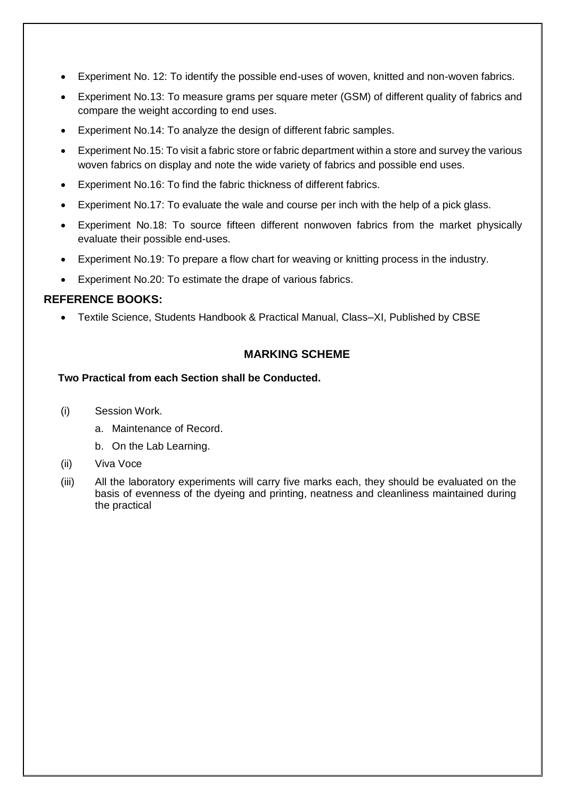- Experiment No. 12: To identify the possible end-uses of woven, knitted and non-woven fabrics.
- Experiment No.13: To measure grams per square meter (GSM) of different quality of fabrics and compare the weight according to end uses.
- Experiment No.14: To analyze the design of different fabric samples.
- Experiment No.15: To visit a fabric store or fabric department within a store and survey the various woven fabrics on display and note the wide variety of fabrics and possible end uses.
- Experiment No.16: To find the fabric thickness of different fabrics.
- Experiment No.17: To evaluate the wale and course per inch with the help of a pick glass.
- Experiment No.18: To source fifteen different nonwoven fabrics from the market physically evaluate their possible end-uses.
- Experiment No.19: To prepare a flow chart for weaving or knitting process in the industry.
- Experiment No.20: To estimate the drape of various fabrics.

### **REFERENCE BOOKS:**

• Textile Science, Students Handbook & Practical Manual, Class–XI, Published by CBSE

### **MARKING SCHEME**

#### **Two Practical from each Section shall be Conducted.**

- (i) Session Work.
	- a. Maintenance of Record.
	- b. On the Lab Learning.
- (ii) Viva Voce
- (iii) All the laboratory experiments will carry five marks each, they should be evaluated on the basis of evenness of the dyeing and printing, neatness and cleanliness maintained during the practical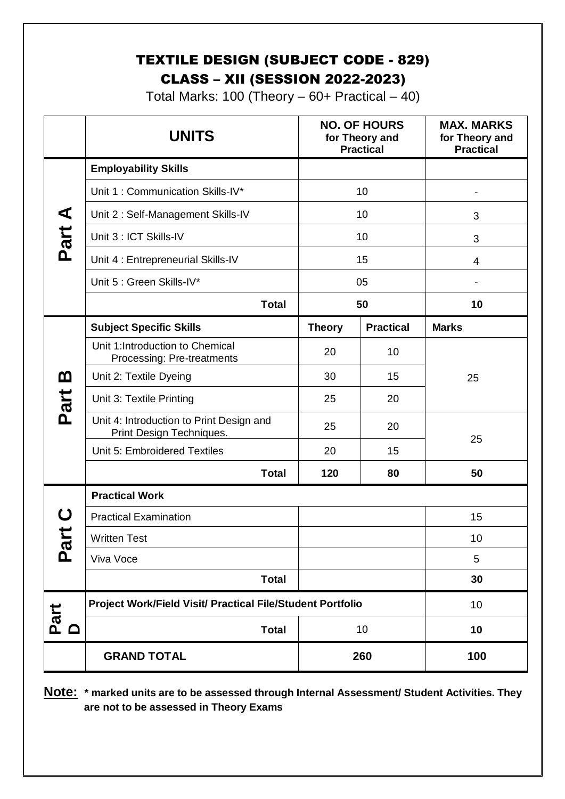### TEXTILE DESIGN (SUBJECT CODE - 829) CLASS – XII (SESSION 2022-2023)

Total Marks: 100 (Theory  $-60+$  Practical  $-40$ )

|                           | <b>UNITS</b>                                                         |               | <b>NO. OF HOURS</b><br>for Theory and<br><b>Practical</b> | <b>MAX. MARKS</b><br>for Theory and<br><b>Practical</b> |
|---------------------------|----------------------------------------------------------------------|---------------|-----------------------------------------------------------|---------------------------------------------------------|
| ⋖                         | <b>Employability Skills</b>                                          |               |                                                           |                                                         |
|                           | Unit 1: Communication Skills-IV*                                     | 10            |                                                           |                                                         |
|                           | Unit 2: Self-Management Skills-IV                                    | 10            |                                                           | 3                                                       |
| Part.                     | Unit 3 : ICT Skills-IV                                               | 10            |                                                           | 3                                                       |
|                           | Unit 4 : Entrepreneurial Skills-IV                                   | 15            |                                                           | 4                                                       |
|                           | Unit 5 : Green Skills-IV*                                            | 05            |                                                           |                                                         |
|                           | <b>Total</b>                                                         | 50            |                                                           | 10                                                      |
|                           | <b>Subject Specific Skills</b>                                       | <b>Theory</b> | <b>Practical</b>                                          | <b>Marks</b>                                            |
|                           | Unit 1:Introduction to Chemical<br>Processing: Pre-treatments        | 20            | 10                                                        |                                                         |
| m                         | Unit 2: Textile Dyeing                                               | 30            | 15                                                        | 25                                                      |
| Part                      | Unit 3: Textile Printing                                             | 25            | 20                                                        |                                                         |
|                           | Unit 4: Introduction to Print Design and<br>Print Design Techniques. | 25            | 20                                                        | 25                                                      |
|                           | Unit 5: Embroidered Textiles                                         | 20            | 15                                                        |                                                         |
|                           | <b>Total</b>                                                         | 120           | 80                                                        | 50                                                      |
|                           | <b>Practical Work</b>                                                |               |                                                           |                                                         |
|                           | <b>Practical Examination</b>                                         |               |                                                           | 15                                                      |
|                           | <b>Written Test</b>                                                  |               |                                                           | 10                                                      |
| $\overline{\mathbf{c}}$   | Viva Voce                                                            |               |                                                           | 5                                                       |
|                           | <b>Total</b>                                                         |               |                                                           | 30                                                      |
|                           | Project Work/Field Visit/ Practical File/Student Portfolio           | 10            |                                                           |                                                         |
| Part<br>$\mathbf{\Omega}$ | <b>Total</b>                                                         | 10            |                                                           | 10                                                      |
|                           | <b>GRAND TOTAL</b>                                                   | 260           |                                                           | 100                                                     |

**Note: \* marked units are to be assessed through Internal Assessment/ Student Activities. They are not to be assessed in Theory Exams**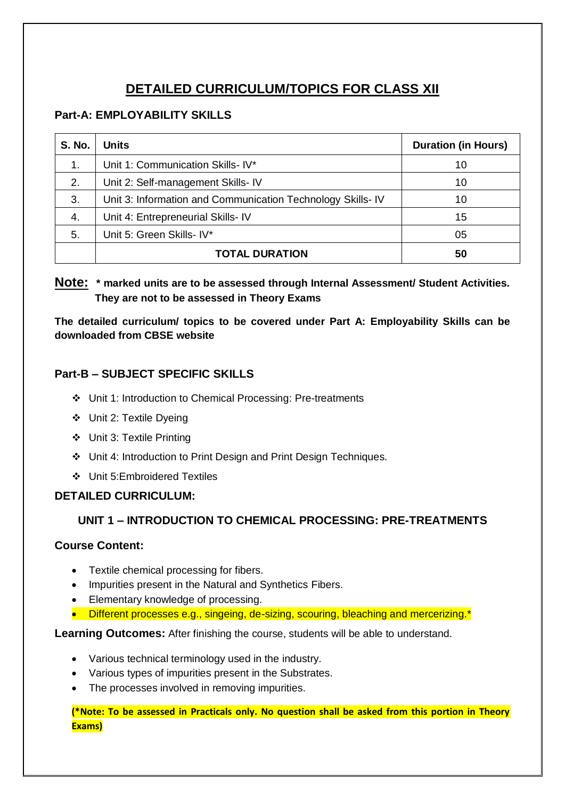### **DETAILED CURRICULUM/TOPICS FOR CLASS XII**

### **Part-A: EMPLOYABILITY SKILLS**

| <b>S. No.</b> | <b>Units</b>                                               | <b>Duration (in Hours)</b> |
|---------------|------------------------------------------------------------|----------------------------|
| 1.            | Unit 1: Communication Skills- IV*                          | 10                         |
| 2.            | Unit 2: Self-management Skills- IV                         | 10                         |
| 3.            | Unit 3: Information and Communication Technology Skills-IV | 10                         |
| 4.            | Unit 4: Entrepreneurial Skills- IV                         | 15                         |
| 5.            | Unit 5: Green Skills- IV*                                  | 05                         |
|               | <b>TOTAL DURATION</b>                                      | 50                         |

### **Note: \* marked units are to be assessed through Internal Assessment/ Student Activities. They are not to be assessed in Theory Exams**

**The detailed curriculum/ topics to be covered under Part A: Employability Skills can be downloaded from CBSE website**

### **Part-B – SUBJECT SPECIFIC SKILLS**

- Unit 1: Introduction to Chemical Processing: Pre-treatments
- Unit 2: Textile Dyeing
- Unit 3: Textile Printing
- Unit 4: Introduction to Print Design and Print Design Techniques.
- Unit 5:Embroidered Textiles

### **DETAILED CURRICULUM:**

### **UNIT 1 – INTRODUCTION TO CHEMICAL PROCESSING: PRE-TREATMENTS**

### **Course Content:**

- Textile chemical processing for fibers.
- Impurities present in the Natural and Synthetics Fibers.
- Elementary knowledge of processing.
- Different processes e.g., singeing, de-sizing, scouring, bleaching and mercerizing.\*

**Learning Outcomes:** After finishing the course, students will be able to understand.

- Various technical terminology used in the industry.
- Various types of impurities present in the Substrates.
- The processes involved in removing impurities.

**(\*Note: To be assessed in Practicals only. No question shall be asked from this portion in Theory Exams)**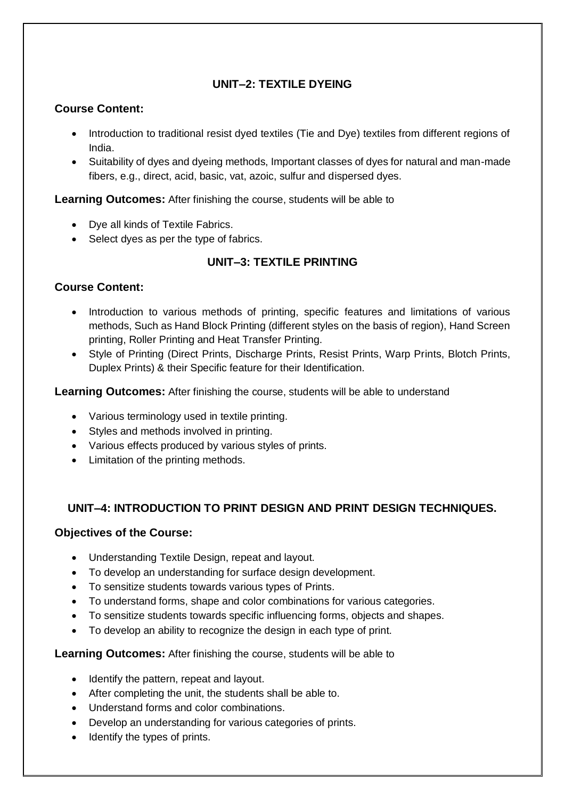### **UNIT–2: TEXTILE DYEING**

### **Course Content:**

- Introduction to traditional resist dyed textiles (Tie and Dye) textiles from different regions of India.
- Suitability of dyes and dyeing methods, Important classes of dyes for natural and man-made fibers, e.g., direct, acid, basic, vat, azoic, sulfur and dispersed dyes.

**Learning Outcomes:** After finishing the course, students will be able to

- Dye all kinds of Textile Fabrics.
- Select dyes as per the type of fabrics.

### **UNIT–3: TEXTILE PRINTING**

### **Course Content:**

- Introduction to various methods of printing, specific features and limitations of various methods, Such as Hand Block Printing (different styles on the basis of region), Hand Screen printing, Roller Printing and Heat Transfer Printing.
- Style of Printing (Direct Prints, Discharge Prints, Resist Prints, Warp Prints, Blotch Prints, Duplex Prints) & their Specific feature for their Identification.

**Learning Outcomes:** After finishing the course, students will be able to understand

- Various terminology used in textile printing.
- Styles and methods involved in printing.
- Various effects produced by various styles of prints.
- Limitation of the printing methods.

### **UNIT–4: INTRODUCTION TO PRINT DESIGN AND PRINT DESIGN TECHNIQUES.**

### **Objectives of the Course:**

- Understanding Textile Design, repeat and layout.
- To develop an understanding for surface design development.
- To sensitize students towards various types of Prints.
- To understand forms, shape and color combinations for various categories.
- To sensitize students towards specific influencing forms, objects and shapes.
- To develop an ability to recognize the design in each type of print.

**Learning Outcomes:** After finishing the course, students will be able to

- Identify the pattern, repeat and layout.
- After completing the unit, the students shall be able to.
- Understand forms and color combinations.
- Develop an understanding for various categories of prints.
- Identify the types of prints.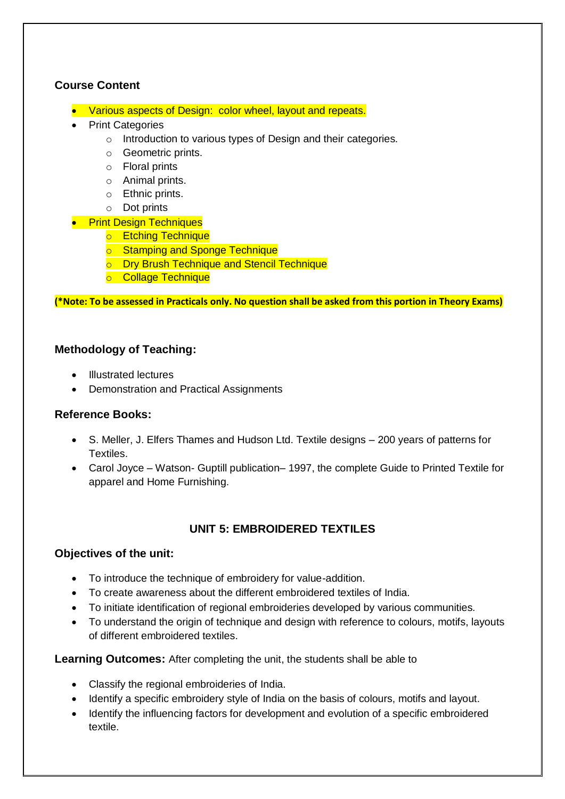### **Course Content**

- Various aspects of Design: color wheel, layout and repeats.
- Print Categories
	- o Introduction to various types of Design and their categories.
	- o Geometric prints.
	- o Floral prints
	- o Animal prints.
	- o Ethnic prints.
	- o Dot prints

### **•** Print Design Techniques

- o Etching Technique
- o Stamping and Sponge Technique
- o Dry Brush Technique and Stencil Technique
- o Collage Technique

**(\*Note: To be assessed in Practicals only. No question shall be asked from this portion in Theory Exams)**

### **Methodology of Teaching:**

- Illustrated lectures
- Demonstration and Practical Assignments

### **Reference Books:**

- S. Meller, J. Elfers Thames and Hudson Ltd. Textile designs 200 years of patterns for Textiles.
- Carol Joyce Watson- Guptill publication– 1997, the complete Guide to Printed Textile for apparel and Home Furnishing.

### **UNIT 5: EMBROIDERED TEXTILES**

### **Objectives of the unit:**

- To introduce the technique of embroidery for value-addition.
- To create awareness about the different embroidered textiles of India.
- To initiate identification of regional embroideries developed by various communities.
- To understand the origin of technique and design with reference to colours, motifs, layouts of different embroidered textiles.

### **Learning Outcomes:** After completing the unit, the students shall be able to

- Classify the regional embroideries of India.
- Identify a specific embroidery style of India on the basis of colours, motifs and layout.
- Identify the influencing factors for development and evolution of a specific embroidered textile.